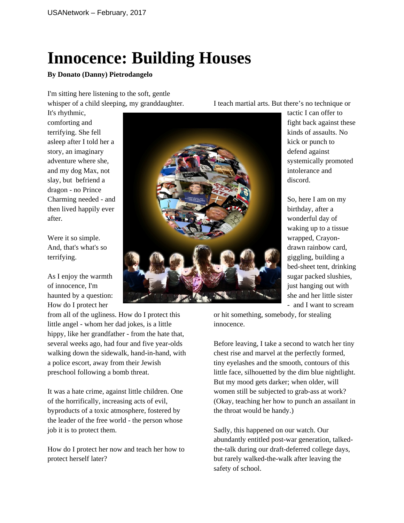## **Innocence: Building Houses**

## **By Donato (Danny) Pietrodangelo**

I'm sitting here listening to the soft, gentle whisper of a child sleeping, my granddaughter.

It's rhythmic, comforting and terrifying. She fell asleep after I told her a story, an imaginary adventure where she, and my dog Max, not slay, but befriend a dragon - no Prince Charming needed - and then lived happily ever after.

Were it so simple. And, that's what's so terrifying.

As I enjoy the warmth of innocence, I'm haunted by a question: How do I protect her

from all of the ugliness. How do I protect this little angel - whom her dad jokes, is a little hippy, like her grandfather - from the hate that, several weeks ago, had four and five year-olds walking down the sidewalk, hand-in-hand, with a police escort, away from their Jewish preschool following a bomb threat.

It was a hate crime, against little children. One of the horrifically, increasing acts of evil, byproducts of a toxic atmosphere, fostered by the leader of the free world - the person whose job it is to protect them.

How do I protect her now and teach her how to protect herself later?

I teach martial arts. But there's no technique or

tactic I can offer to fight back against these kinds of assaults. No kick or punch to defend against systemically promoted intolerance and discord.

So, here I am on my birthday, after a wonderful day of waking up to a tissue wrapped, Crayondrawn rainbow card, giggling, building a bed-sheet tent, drinking sugar packed slushies, just hanging out with she and her little sister - and I want to scream

or hit something, somebody, for stealing innocence.

Before leaving, I take a second to watch her tiny chest rise and marvel at the perfectly formed, tiny eyelashes and the smooth, contours of this little face, silhouetted by the dim blue nightlight. But my mood gets darker; when older, will women still be subjected to grab-ass at work? (Okay, teaching her how to punch an assailant in the throat would be handy.)

Sadly, this happened on our watch. Our abundantly entitled post-war generation, talkedthe-talk during our draft-deferred college days, but rarely walked-the-walk after leaving the safety of school.